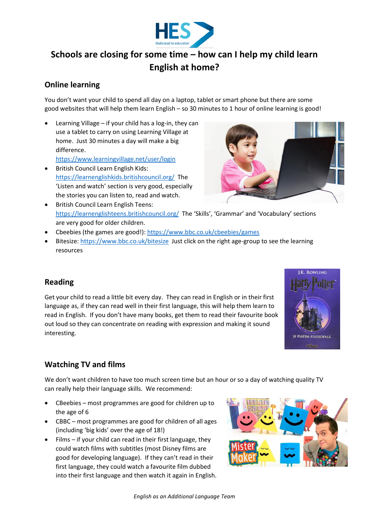

# **Schools are closing for some time – how can I help my child learn English at home?**

## **Online learning**

You don't want your child to spend all day on a laptop, tablet or smart phone but there are some good websites that will help them learn English – so 30 minutes to 1 hour of online learning is good!

- Learning Village if your child has a log-in, they can use a tablet to carry on using Learning Village at home. Just 30 minutes a day will make a big difference. <https://www.learningvillage.net/user/login>
- British Council Learn English Kids: <https://learnenglishkids.britishcouncil.org/>The 'Listen and watch' section is very good, especially the stories you can listen to, read and watch.



- British Council Learn English Teens: <https://learnenglishteens.britishcouncil.org/>The 'Skills', 'Grammar' and 'Vocabulary' sections are very good for older children.
- Cbeebies (the games are good!): <https://www.bbc.co.uk/cbeebies/games>
- Bitesize[: https://www.bbc.co.uk/bitesize](https://www.bbc.co.uk/bitesize) Just click on the right age-group to see the learning resources

# **Reading**

Get your child to read a little bit every day. They can read in English or in their first language as, if they can read well in their first language, this will help them learn to read in English. If you don't have many books, get them to read their favourite book out loud so they can concentrate on reading with expression and making it sound interesting.



# **Watching TV and films**

We don't want children to have too much screen time but an hour or so a day of watching quality TV can really help their language skills. We recommend:

- CBeebies most programmes are good for children up to the age of 6
- CBBC most programmes are good for children of all ages (including 'big kids' over the age of 18!)
- $\bullet$  Films if your child can read in their first language, they could watch films with subtitles (most Disney films are good for developing language). If they can't read in their first language, they could watch a favourite film dubbed into their first language and then watch it again in English.